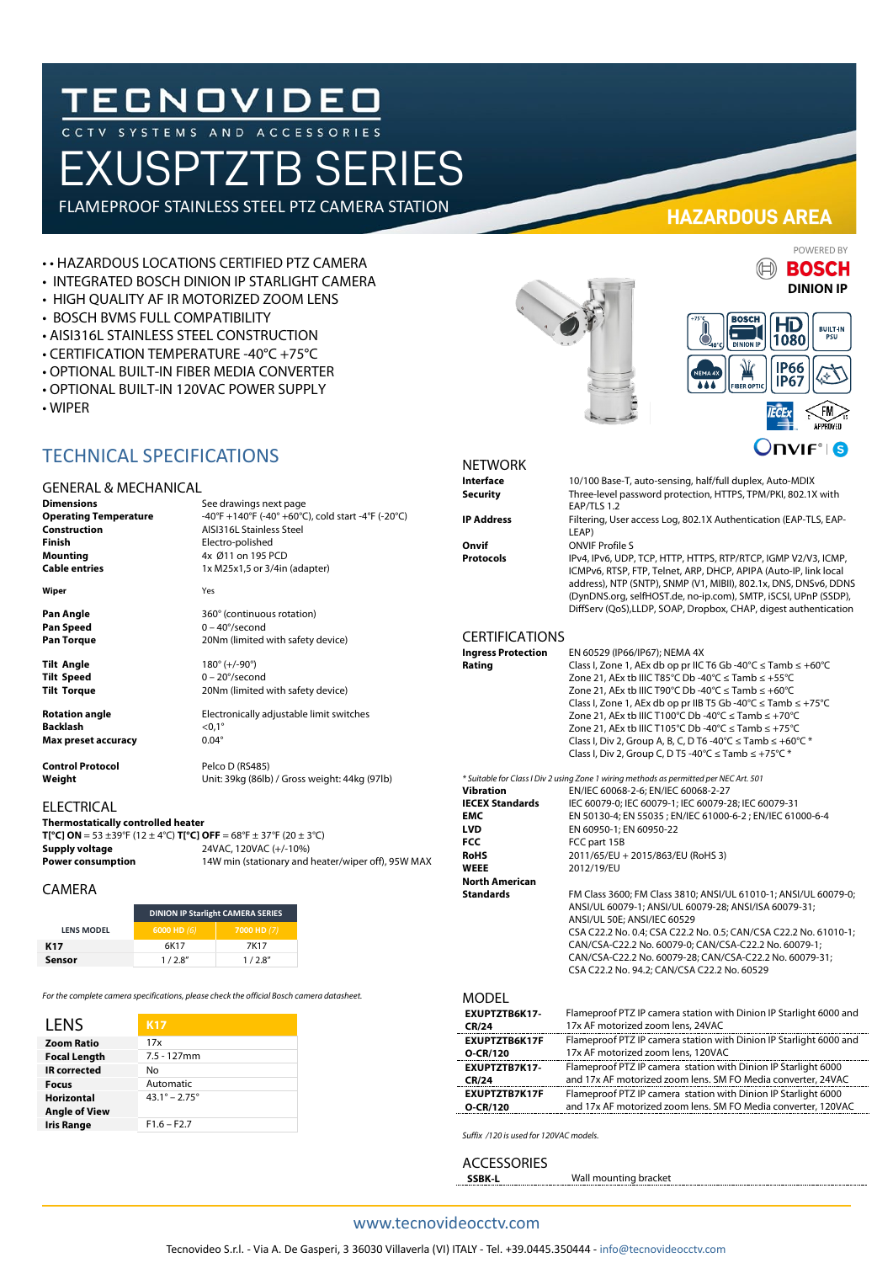# TECNOVIDEO

AND ACCES

# EXUSPTZTB SERIES

FLAMEPROOF STAINLESS STEEL PTZ CAMERA STATION

**See drawings next page** 

**AISI316L Stainless Steel Finish** Electro-polished **Mounting** 4x Ø11 on 195 PCD **Cable entries** 1x M25x1,5 or 3/4in (adapter)

**Operating Temperature** -40°F +140°F (-40° +60°C), cold start -4°F (-20°C)

#### • • HAZARDOUS LOCATIONS CERTIFIED PTZ CAMERA

- INTEGRATED BOSCH DINION IP STARLIGHT CAMERA
- HIGH QUALITY AF IR MOTORIZED ZOOM LENS
- BOSCH BVMS FULL COMPATIBILITY
- AISI316L STAINLESS STEEL CONSTRUCTION
- CERTIFICATION TEMPERATURE -40°C +75°C
- OPTIONAL BUILT-IN FIBER MEDIA CONVERTER
- OPTIONAL BUILT-IN 120VAC POWER SUPPLY
- WIPER

## TECHNICAL SPECIFICATIONS

#### GENERAL & MECHANICAL

| <b>Dimensions</b>            |
|------------------------------|
| <b>Operating Temperature</b> |
| Construction                 |
| <b>Finish</b>                |
| <b>Mounting</b>              |
| <b>Cable entries</b>         |
|                              |

**Wiper** Yes

**Pan Angle** 360° (continuous rotation) **Pan Speed** 0 – 40°/second<br> **Pan Torque** 20Nm (limited

**Tilt Angle** 180° (+/-90°) **Tilt Speed** 0 – 20°/second **Tilt Torque** 20Nm (limited with safety device)

**Rotation angle** Electronically adjustable limit switches **Backlash** <0,1° **Max preset accuracy** 0.04°

**Control Protocol** Pelco D (RS485)<br> **Weight** Unit: 39kg (86lb)

20Nm (limited with safety device)

**Weight** Unit: 39kg (86lb) / Gross weight: 44kg (97lb)

#### ELECTRICAL

**Thermostatically controlled heater T[°C] ON** = 53 ±39°F (12 ± 4°C) **T[°C] OFF** = 68°F ± 37°F (20 ± 3°C) **Supply voltage** 24VAC, 120VAC (+/-10%) **Power consumption** 14W min (stationary and heater/wiper off), 95W MAX

#### CAMERA

|                   | <b>DINION IP Starlight CAMERA SERIES</b> |             |
|-------------------|------------------------------------------|-------------|
| <b>LENS MODEL</b> | $6000$ HD $(6)$                          | 7000 HD (7) |
| K17               | 6K17                                     | 7K17        |
| Sensor            | 1/2.8''                                  | 1/2.8''     |

*For the complete camera specifications, please check the official Bosch camera datasheet.*

| LENS                 | <b>K17</b>                    |
|----------------------|-------------------------------|
| <b>Zoom Ratio</b>    | 17x                           |
| <b>Focal Length</b>  | $7.5 - 127$ mm                |
| <b>IR</b> corrected  | No                            |
| Focus                | Automatic                     |
| <b>Horizontal</b>    | $43.1^{\circ} - 2.75^{\circ}$ |
| <b>Angle of View</b> |                               |
| <b>Iris Range</b>    | $F1.6 - F2.7$                 |

**HAZARDOUS AREA**





# NETWORK<br>Interface

**Interface** 10/100 Base-T, auto-sensing, half/full duplex, Auto-MDIX **Security** Three-level password protection, HTTPS, TPM/PKI, 802.1X with FAP/TLS 1.2

**IP Address** Filtering, User access Log, 802.1X Authentication (EAP-TLS, EAP-LEAP)

**Onvif** ONVIF Profile S

**Protocols** IPv4, IPv6, UDP, TCP, HTTP, HTTPS, RTP/RTCP, IGMP V2/V3, ICMP, ICMPv6, RTSP, FTP, Telnet, ARP, DHCP, APIPA (Auto-IP, link local address), NTP (SNTP), SNMP (V1, MIBII), 802.1x, DNS, DNSv6, DDNS (DynDNS.org, selfHOST.de, no-ip.com), SMTP, iSCSI, UPnP (SSDP), DiffServ (QoS),LLDP, SOAP, Dropbox, CHAP, digest authentication

# CERTIFICATIONS

#### **Ingress Protection** EN 60529 (IP66/IP67); NEMA 4X<br>**Rating** Class I. Zone 1. AEx db op pr IIC **Rating** Class I, Zone 1, AEx db op pr IIC T6 Gb -40°C ≤ Tamb ≤ +60°C Zone 21, AEx tb IIIC T85°C Db -40°C ≤ Tamb ≤ +55°C Zone 21, AEx tb IIIC T90°C Db -40°C ≤ Tamb ≤ +60°C Class I, Zone 1, AEx db op pr IIB T5 Gb -40°C ≤ Tamb ≤ +75°C Zone 21, AEx tb IIIC T100°C Db -40°C ≤ Tamb ≤ +70°C  $Zone 21$ , AEx tb IIIC T105°C Db -40°C  $\leq$  Tamb  $\leq$  +75°C Class I, Div 2, Group A, B, C, D T6 -40°C  $\leq$  Tamb  $\leq$  +60°C  $*$ Class I, Div 2, Group C, D T5 -40°C ≤ Tamb ≤ +75°C \*

*\* Suitable for Class I Div 2 using Zone 1 wiring methods as permitted per NEC Art. 501* **Vibration** EN/IEC 60068-2-6; EN/IEC 60068-2-27<br>**IECEX Standards** IEC 60079-0; IEC 60079-1; IEC 60079-2 **IECEX Standards** IEC 60079-0; IEC 60079-1; IEC 60079-28; IEC 60079-31<br>**EMC** IEM 50130-4: EN 55035 : EN/IEC 61000-6-2 : EN/IEC 610 **EMC** EN 50130-4; EN 55035 ; EN/IEC 61000-6-2 ; EN/IEC 61000-6-4<br>
LVD EN 60950-1; EN 60950-22 **LVD** EN 60950-1; EN 60950-22<br> **FCC** FCC part 15B **FCC FCC** part 15B<br>**RoHS** 2011/65/EU + **RoHS** 2011/65/EU + 2015/863/EU (RoHS 3) **WEEE** 2012/19/EU **North American Standards** FM Class 3600; FM Class 3810; ANSI/UL 61010-1; ANSI/UL 60079-0; ANSI/UL 60079-1; ANSI/UL 60079-28; ANSI/ISA 60079-31; ANSI/UL 50E; ANSI/IEC 60529 CSA C22.2 No. 0.4; CSA C22.2 No. 0.5; CAN/CSA C22.2 No. 61010-1; CAN/CSA-C22.2 No. 60079-0; CAN/CSA-C22.2 No. 60079-1; CAN/CSA-C22.2 No. 60079-28; CAN/CSA-C22.2 No. 60079-31; CSA C22.2 No. 94.2; CAN/CSA C22.2 No. 60529

#### MODEL

| EXUPTZTB6K17- | Flameproof PTZ IP camera station with Dinion IP Starlight 6000 and |
|---------------|--------------------------------------------------------------------|
| CR/24         | 17x AF motorized zoom lens, 24VAC                                  |
| EXUPTZTB6K17F | Flameproof PTZ IP camera station with Dinion IP Starlight 6000 and |
| O-CR/120      | 17x AF motorized zoom lens, 120VAC                                 |
| EXUPTZTB7K17- | Flameproof PTZ IP camera station with Dinion IP Starlight 6000     |
| CR/24         | and 17x AF motorized zoom lens. SM FO Media converter, 24VAC       |
| EXUPTZTB7K17F | Flameproof PTZ IP camera station with Dinion IP Starlight 6000     |
| O-CR/120      | and 17x AF motorized zoom lens. SM FO Media converter, 120VAC      |

*Suffix /120 is used for 120VAC models.*

ACCESSORIES<br>SSBK-L

**SSBK-L** Wall mounting bracket

#### www.tecnovideocctv.com

POWERED BY**BOSCH**